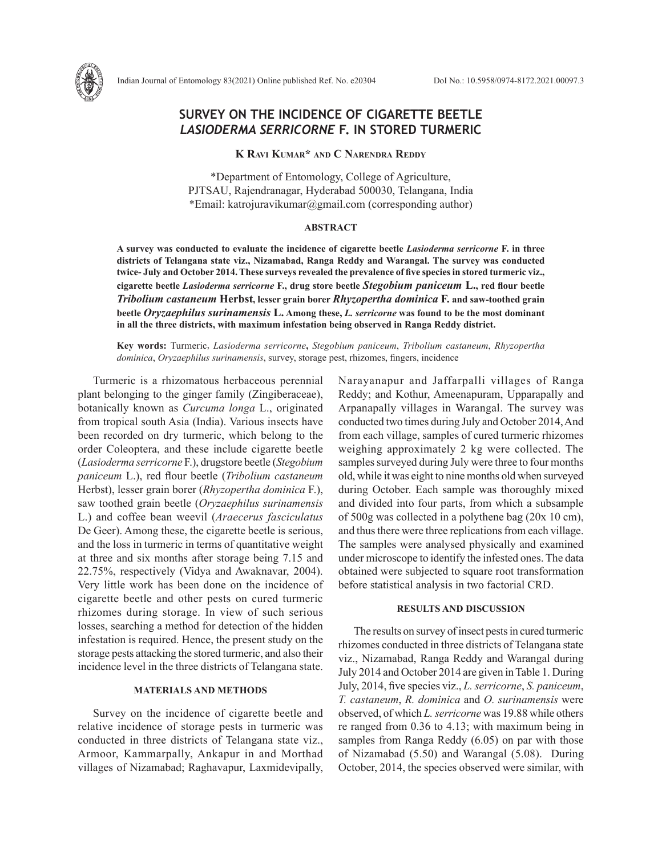# **SURVEY ON THE INCIDENCE OF CIGARETTE BEETLE**  *LASIODERMA SERRICORNE* **F. IN STORED TURMERIC**

# **K Ravi Kumar\* and C Narendra Reddy**

\*Department of Entomology, College of Agriculture, PJTSAU, Rajendranagar, Hyderabad 500030, Telangana, India \*Email: katrojuravikumar@gmail.com (corresponding author)

#### **ABSTRACT**

**A survey was conducted to evaluate the incidence of cigarette beetle** *Lasioderma serricorne* **F. in three districts of Telangana state viz., Nizamabad, Ranga Reddy and Warangal. The survey was conducted twice- July and October 2014. These surveys revealed the prevalence of five species in stored turmeric viz., cigarette beetle** *Lasioderma serricorne* **F., drug store beetle** *Stegobium paniceum* **L., red flour beetle** *Tribolium castaneum* **Herbst, lesser grain borer** *Rhyzopertha dominica* **F. and saw-toothed grain beetle** *Oryzaephilus surinamensis* **L. Among these,** *L. serricorne* **was found to be the most dominant in all the three districts, with maximum infestation being observed in Ranga Reddy district.** 

**Key words:** Turmeric, *Lasioderma serricorne***,** *Stegobium paniceum*, *Tribolium castaneum*, *Rhyzopertha dominica*, *Oryzaephilus surinamensis*, survey, storage pest, rhizomes, fingers, incidence

Turmeric is a rhizomatous herbaceous perennial plant belonging to the ginger family (Zingiberaceae), botanically known as *Curcuma longa* L., originated from tropical south Asia (India). Various insects have been recorded on dry turmeric, which belong to the order Coleoptera, and these include cigarette beetle (*Lasioderma serricorne* F.), drugstore beetle (*Stegobium paniceum* L.), red flour beetle (*Tribolium castaneum*  Herbst), lesser grain borer (*Rhyzopertha dominica* F.), saw toothed grain beetle (*Oryzaephilus surinamensis*  L.) and coffee bean weevil (*Araecerus fasciculatus* De Geer). Among these, the cigarette beetle is serious, and the loss in turmeric in terms of quantitative weight at three and six months after storage being 7.15 and 22.75%, respectively (Vidya and Awaknavar, 2004). Very little work has been done on the incidence of cigarette beetle and other pests on cured turmeric rhizomes during storage. In view of such serious losses, searching a method for detection of the hidden infestation is required. Hence, the present study on the storage pests attacking the stored turmeric, and also their incidence level in the three districts of Telangana state.

### **MATERIALS AND METHODS**

Survey on the incidence of cigarette beetle and relative incidence of storage pests in turmeric was conducted in three districts of Telangana state viz., Armoor, Kammarpally, Ankapur in and Morthad villages of Nizamabad; Raghavapur, Laxmidevipally, Narayanapur and Jaffarpalli villages of Ranga Reddy; and Kothur, Ameenapuram, Upparapally and Arpanapally villages in Warangal. The survey was conducted two times during July and October 2014, And from each village, samples of cured turmeric rhizomes weighing approximately 2 kg were collected. The samples surveyed during July were three to four months old, while it was eight to nine months old when surveyed during October. Each sample was thoroughly mixed and divided into four parts, from which a subsample of 500g was collected in a polythene bag (20x 10 cm), and thus there were three replications from each village. The samples were analysed physically and examined under microscope to identify the infested ones. The data obtained were subjected to square root transformation before statistical analysis in two factorial CRD.

## **RESULTS AND DISCUSSION**

The results on survey of insect pests in cured turmeric rhizomes conducted in three districts of Telangana state viz., Nizamabad, Ranga Reddy and Warangal during July 2014 and October 2014 are given in Table 1. During July, 2014, five species viz., *L. serricorne*, *S. paniceum*, *T. castaneum*, *R. dominica* and *O. surinamensis* were observed, of which *L. serricorne* was 19.88 while others re ranged from 0.36 to 4.13; with maximum being in samples from Ranga Reddy (6.05) on par with those of Nizamabad (5.50) and Warangal (5.08). During October, 2014, the species observed were similar, with